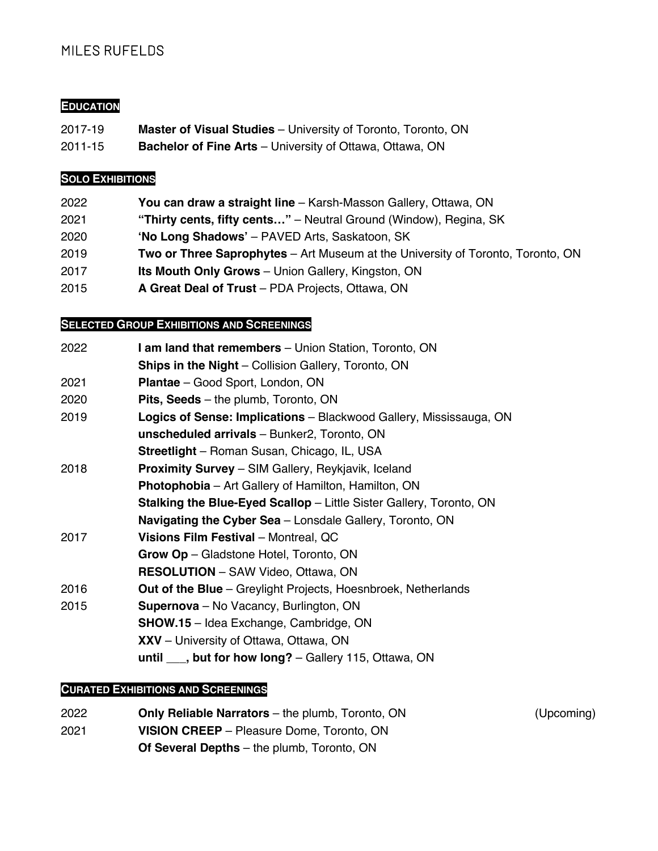# MILES RUFELDS

#### **EDUCATION**

- 2017-19 **Master of Visual Studies** University of Toronto, Toronto, ON
- 2011-15 **Bachelor of Fine Arts** University of Ottawa, Ottawa, ON

#### **SOLO EXHIBITIONS**

- 2022 **You can draw a straight line** Karsh-Masson Gallery, Ottawa, ON
- 2021 **"Thirty cents, fifty cents…"** Neutral Ground (Window), Regina, SK
- 2020 **'No Long Shadows'** PAVED Arts, Saskatoon, SK
- 2019 **Two or Three Saprophytes** Art Museum at the University of Toronto, Toronto, ON
- 2017 **Its Mouth Only Grows** Union Gallery, Kingston, ON
- 2015 **A Great Deal of Trust** PDA Projects, Ottawa, ON

### **SELECTED GROUP EXHIBITIONS AND SCREENINGS**

| 2022 | <b>I am land that remembers</b> – Union Station, Toronto, ON               |
|------|----------------------------------------------------------------------------|
|      | <b>Ships in the Night</b> – Collision Gallery, Toronto, ON                 |
| 2021 | Plantae - Good Sport, London, ON                                           |
| 2020 | <b>Pits, Seeds</b> – the plumb, Toronto, ON                                |
| 2019 | Logics of Sense: Implications - Blackwood Gallery, Mississauga, ON         |
|      | unscheduled arrivals - Bunker2, Toronto, ON                                |
|      | <b>Streetlight</b> – Roman Susan, Chicago, IL, USA                         |
| 2018 | <b>Proximity Survey</b> – SIM Gallery, Reykjavik, Iceland                  |
|      | <b>Photophobia</b> – Art Gallery of Hamilton, Hamilton, ON                 |
|      | <b>Stalking the Blue-Eyed Scallop</b> – Little Sister Gallery, Toronto, ON |
|      | <b>Navigating the Cyber Sea</b> – Lonsdale Gallery, Toronto, ON            |
| 2017 | Visions Film Festival - Montreal, QC                                       |
|      | Grow Op - Gladstone Hotel, Toronto, ON                                     |
|      | <b>RESOLUTION</b> - SAW Video, Ottawa, ON                                  |
| 2016 | <b>Out of the Blue</b> – Greylight Projects, Hoesnbroek, Netherlands       |
| 2015 | Supernova - No Vacancy, Burlington, ON                                     |
|      | <b>SHOW.15</b> - Idea Exchange, Cambridge, ON                              |
|      | <b>XXV</b> – University of Ottawa, Ottawa, ON                              |
|      | until $\_\_\$ , but for how long? $-$ Gallery 115, Ottawa, ON              |

#### **CURATED EXHIBITIONS AND SCREENINGS**

- 2022 **Only Reliable Narrators** the plumb, Toronto, ON (Upcoming) 2021 **VISION CREEP** – Pleasure Dome, Toronto, ON
	- **Of Several Depths** the plumb, Toronto, ON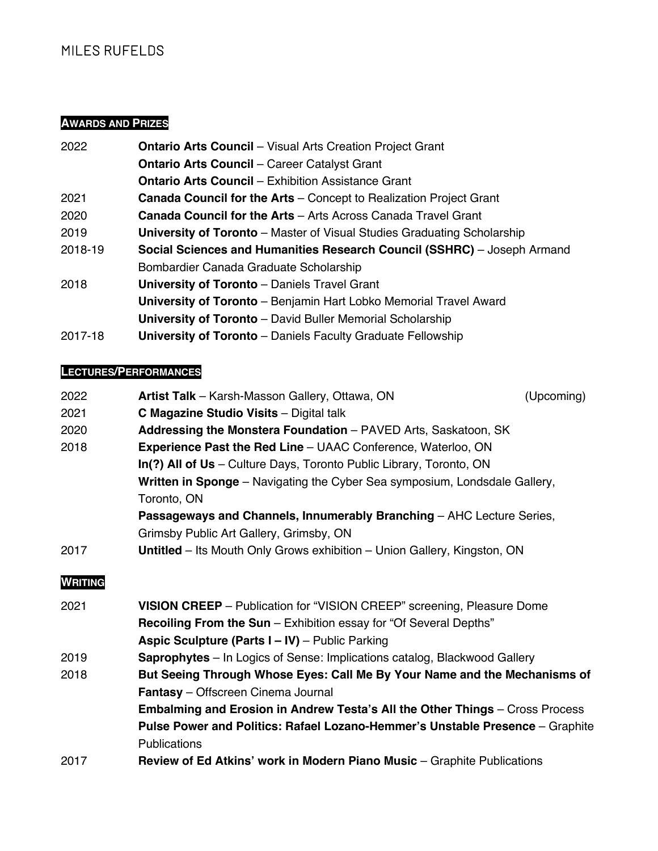# MILES RUFELDS

# **AWARDS AND PRIZES**

| 2022    | <b>Ontario Arts Council - Visual Arts Creation Project Grant</b>               |
|---------|--------------------------------------------------------------------------------|
|         | <b>Ontario Arts Council - Career Catalyst Grant</b>                            |
|         | <b>Ontario Arts Council - Exhibition Assistance Grant</b>                      |
| 2021    | <b>Canada Council for the Arts</b> – Concept to Realization Project Grant      |
| 2020    | <b>Canada Council for the Arts - Arts Across Canada Travel Grant</b>           |
| 2019    | <b>University of Toronto</b> – Master of Visual Studies Graduating Scholarship |
| 2018-19 | Social Sciences and Humanities Research Council (SSHRC) – Joseph Armand        |
|         | Bombardier Canada Graduate Scholarship                                         |
| 2018    | <b>University of Toronto</b> – Daniels Travel Grant                            |
|         | <b>University of Toronto</b> – Benjamin Hart Lobko Memorial Travel Award       |
|         | <b>University of Toronto</b> – David Buller Memorial Scholarship               |
| 2017-18 | <b>University of Toronto</b> – Daniels Faculty Graduate Fellowship             |

# **LECTURES/PERFORMANCES**

| 2022           | Artist Talk - Karsh-Masson Gallery, Ottawa, ON                                      | (Upcoming) |
|----------------|-------------------------------------------------------------------------------------|------------|
| 2021           | <b>C Magazine Studio Visits - Digital talk</b>                                      |            |
| 2020           | Addressing the Monstera Foundation - PAVED Arts, Saskatoon, SK                      |            |
| 2018           | <b>Experience Past the Red Line - UAAC Conference, Waterloo, ON</b>                 |            |
|                | In(?) All of Us - Culture Days, Toronto Public Library, Toronto, ON                 |            |
|                | <b>Written in Sponge</b> – Navigating the Cyber Sea symposium, Londsdale Gallery,   |            |
|                | Toronto, ON                                                                         |            |
|                | Passageways and Channels, Innumerably Branching - AHC Lecture Series,               |            |
|                | Grimsby Public Art Gallery, Grimsby, ON                                             |            |
| 2017           | Untitled - Its Mouth Only Grows exhibition - Union Gallery, Kingston, ON            |            |
|                |                                                                                     |            |
| <b>WRITING</b> |                                                                                     |            |
| 2021           | <b>VISION CREEP</b> – Publication for "VISION CREEP" screening, Pleasure Dome       |            |
|                | Recoiling From the Sun - Exhibition essay for "Of Several Depths"                   |            |
|                | Aspic Sculpture (Parts I - IV) - Public Parking                                     |            |
| 2019           | <b>Saprophytes</b> – In Logics of Sense: Implications catalog, Blackwood Gallery    |            |
| 2018           | But Seeing Through Whose Eyes: Call Me By Your Name and the Mechanisms of           |            |
|                | Fantasy - Offscreen Cinema Journal                                                  |            |
|                | <b>Embalming and Erosion in Andrew Testa's All the Other Things</b> - Cross Process |            |
|                | Pulse Power and Politics: Rafael Lozano-Hemmer's Unstable Presence - Graphite       |            |
|                | <b>Publications</b>                                                                 |            |
| 2017           | Review of Ed Atkins' work in Modern Piano Music - Graphite Publications             |            |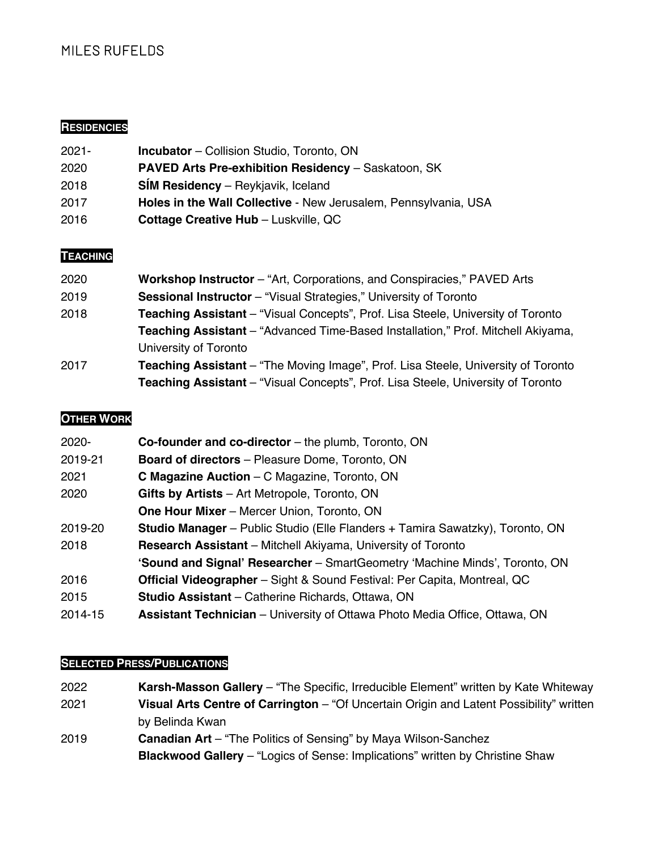# MILES RUFELDS

### **RESIDENCIES**

| $2021 -$ | <b>Incubator</b> – Collision Studio, Toronto, ON                |
|----------|-----------------------------------------------------------------|
| 2020     | <b>PAVED Arts Pre-exhibition Residency - Saskatoon, SK</b>      |
| 2018     | <b>SIM Residency</b> – Reykjavik, Iceland                       |
| 2017     | Holes in the Wall Collective - New Jerusalem, Pennsylvania, USA |
| 2016     | <b>Cottage Creative Hub - Luskville, QC</b>                     |

## **TEACHING**

| 2020 | <b>Workshop Instructor</b> – "Art, Corporations, and Conspiracies," PAVED Arts           |
|------|------------------------------------------------------------------------------------------|
| 2019 | <b>Sessional Instructor</b> – "Visual Strategies," University of Toronto                 |
| 2018 | <b>Teaching Assistant</b> – "Visual Concepts", Prof. Lisa Steele, University of Toronto  |
|      | <b>Teaching Assistant</b> – "Advanced Time-Based Installation," Prof. Mitchell Akiyama,  |
|      | University of Toronto                                                                    |
| 2017 | <b>Teaching Assistant</b> – "The Moving Image", Prof. Lisa Steele, University of Toronto |
|      | <b>Teaching Assistant</b> – "Visual Concepts", Prof. Lisa Steele, University of Toronto  |

#### **OTHER WORK**

| 2020-   | <b>Co-founder and co-director</b> – the plumb, Toronto, ON                           |
|---------|--------------------------------------------------------------------------------------|
| 2019-21 | <b>Board of directors</b> – Pleasure Dome, Toronto, ON                               |
| 2021    | <b>C Magazine Auction</b> – C Magazine, Toronto, ON                                  |
| 2020    | Gifts by Artists - Art Metropole, Toronto, ON                                        |
|         | <b>One Hour Mixer</b> – Mercer Union, Toronto, ON                                    |
| 2019-20 | <b>Studio Manager</b> – Public Studio (Elle Flanders + Tamira Sawatzky), Toronto, ON |
| 2018    | <b>Research Assistant</b> – Mitchell Akiyama, University of Toronto                  |
|         | <b>'Sound and Signal' Researcher</b> – SmartGeometry 'Machine Minds', Toronto, ON    |
| 2016    | <b>Official Videographer</b> – Sight & Sound Festival: Per Capita, Montreal, QC      |
| 2015    | <b>Studio Assistant</b> – Catherine Richards, Ottawa, ON                             |
| 2014-15 | <b>Assistant Technician</b> – University of Ottawa Photo Media Office, Ottawa, ON    |

### **SELECTED PRESS/PUBLICATIONS**

2022 **Karsh-Masson Gallery** – "The Specific, Irreducible Element" written by Kate Whiteway 2021 **Visual Arts Centre of Carrington** – "Of Uncertain Origin and Latent Possibility" written by Belinda Kwan 2019 **Canadian Art** – "The Politics of Sensing" by Maya Wilson-Sanchez **Blackwood Gallery** – "Logics of Sense: Implications" written by Christine Shaw